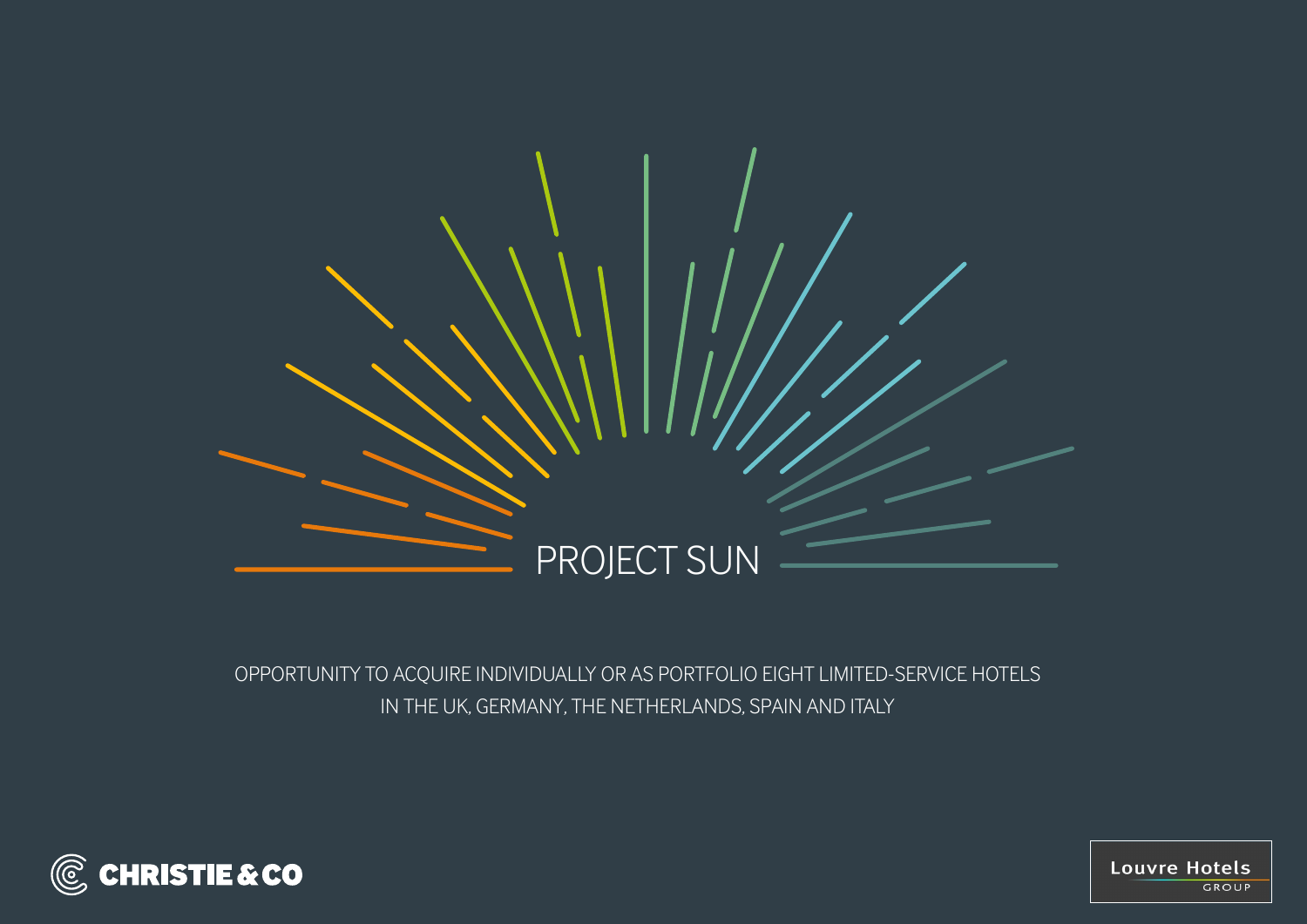

## OPPORTUNITY TO ACQUIRE INDIVIDUALLY OR AS PORTFOLIO EIGHT LIMITED-SERVICE HOTELS IN THE UK, GERMANY, THE NETHERLANDS, SPAIN AND ITALY



**Louvre Hotels** GROUP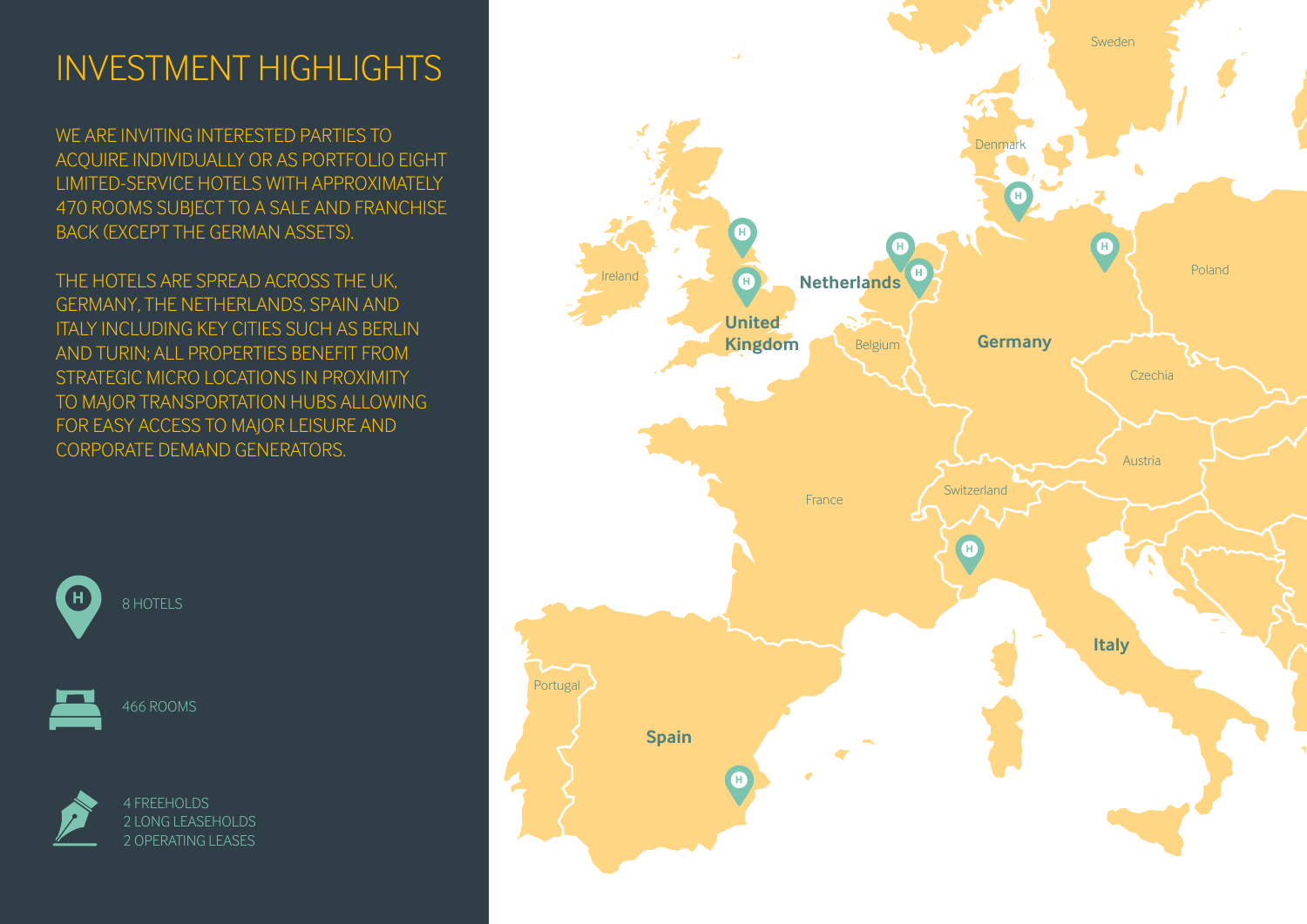## INVESTMENT HIGHLIGHTS

WE ARE INVITING INTERESTED PARTIES TO ACQUIRE INDIVIDUALLY OR AS PORTFOLIO EIGHT LIMITED-SERVICE HOTELS WITH APPROXIMATELY 470 ROOMS SUBJECT TO A SALE AND FRANCHISE BACK (EXCEPT THE GERMAN ASSETS).

THE HOTELS ARE SPREAD ACROSS THE UK, GERMANY, THE NETHERLANDS, SPAIN AND ITALY INCLUDING KEY CITIES SUCH AS BERLIN AND TURIN; ALL PROPERTIES BENEFIT FROM STRATEGIC MICRO LOCATIONS IN PROXIMITY TO MAJOR TRANSPORTATION HUBS ALLOWING FOR EASY ACCESS TO MAJOR LEISURE AND CORPORATE DEMAND GENERATORS.



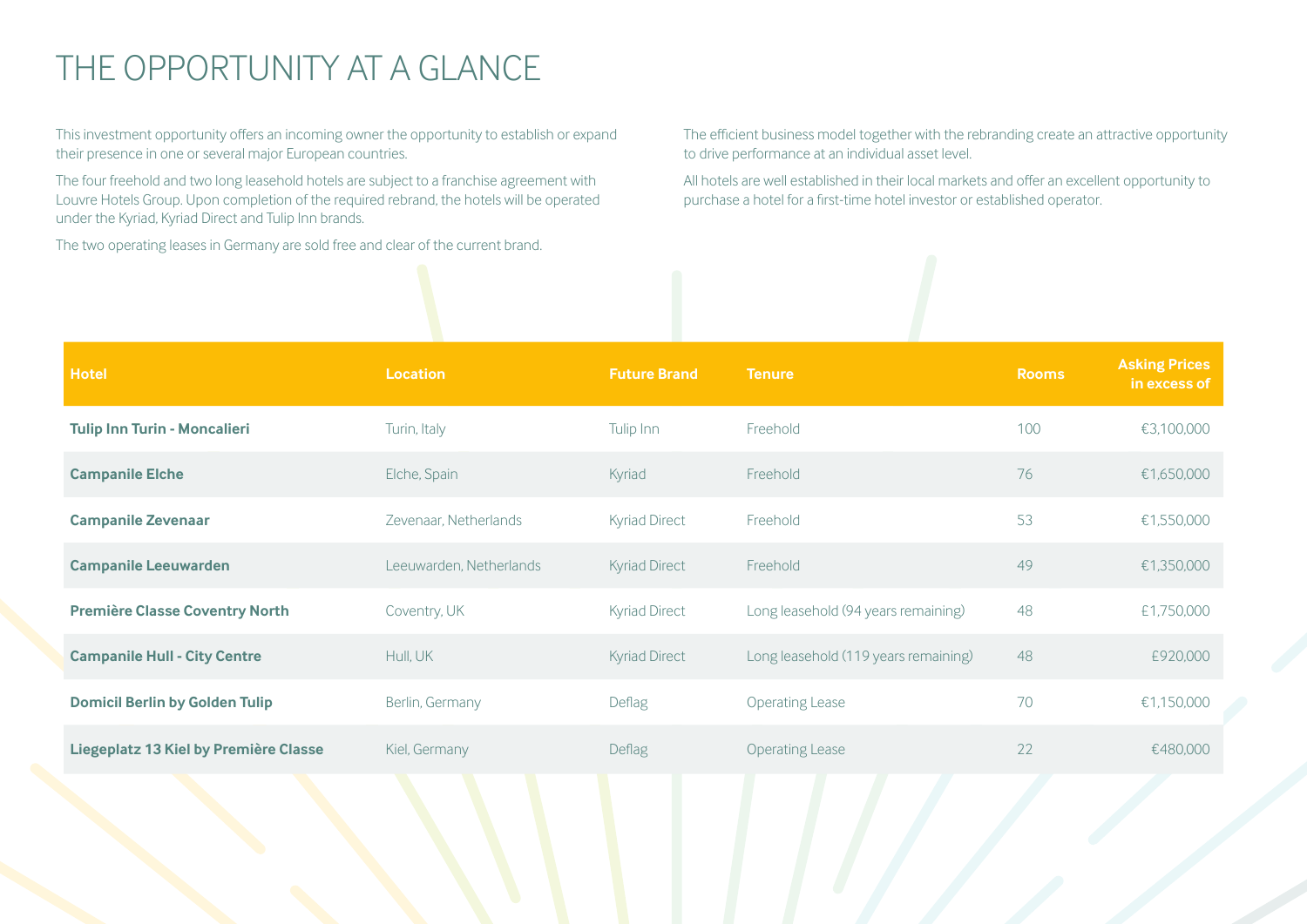# THE OPPORTUNITY AT A GLANCE

This investment opportunity offers an incoming owner the opportunity to establish or expand their presence in one or several major European countries.

The four freehold and two long leasehold hotels are subject to a franchise agreement with Louvre Hotels Group. Upon completion of the required rebrand, the hotels will be operated under the Kyriad, Kyriad Direct and Tulip Inn brands.

The two operating leases in Germany are sold free and clear of the current brand.

The efficient business model together with the rebranding create an attractive opportunity to drive performance at an individual asset level.

All hotels are well established in their local markets and offer an excellent opportunity to purchase a hotel for a first-time hotel investor or established operator.

| <b>Hotel</b>                          | <b>Location</b>         | <b>Future Brand</b>  | <b>Tenure</b>                        | <b>Rooms</b> | <b>Asking Prices</b><br>in excess of |
|---------------------------------------|-------------------------|----------------------|--------------------------------------|--------------|--------------------------------------|
| <b>Tulip Inn Turin - Moncalieri</b>   | Turin, Italy            | Tulip Inn            | Freehold                             | 100          | €3,100,000                           |
| <b>Campanile Elche</b>                | Elche, Spain            | Kyriad               | Freehold                             | 76           | €1,650,000                           |
| <b>Campanile Zevenaar</b>             | Zevenaar, Netherlands   | <b>Kyriad Direct</b> | Freehold                             | 53           | €1,550,000                           |
| <b>Campanile Leeuwarden</b>           | Leeuwarden, Netherlands | <b>Kyriad Direct</b> | Freehold                             | 49           | €1,350,000                           |
| <b>Première Classe Coventry North</b> | Coventry, UK            | <b>Kyriad Direct</b> | Long leasehold (94 years remaining)  | 48           | £1,750,000                           |
| <b>Campanile Hull - City Centre</b>   | Hull, UK                | <b>Kyriad Direct</b> | Long leasehold (119 years remaining) | 48           | £920,000                             |
| <b>Domicil Berlin by Golden Tulip</b> | Berlin, Germany         | Deflag               | <b>Operating Lease</b>               | 70           | €1,150,000                           |
| Liegeplatz 13 Kiel by Première Classe | Kiel, Germany           | Deflag               | <b>Operating Lease</b>               | 22           | €480,000                             |